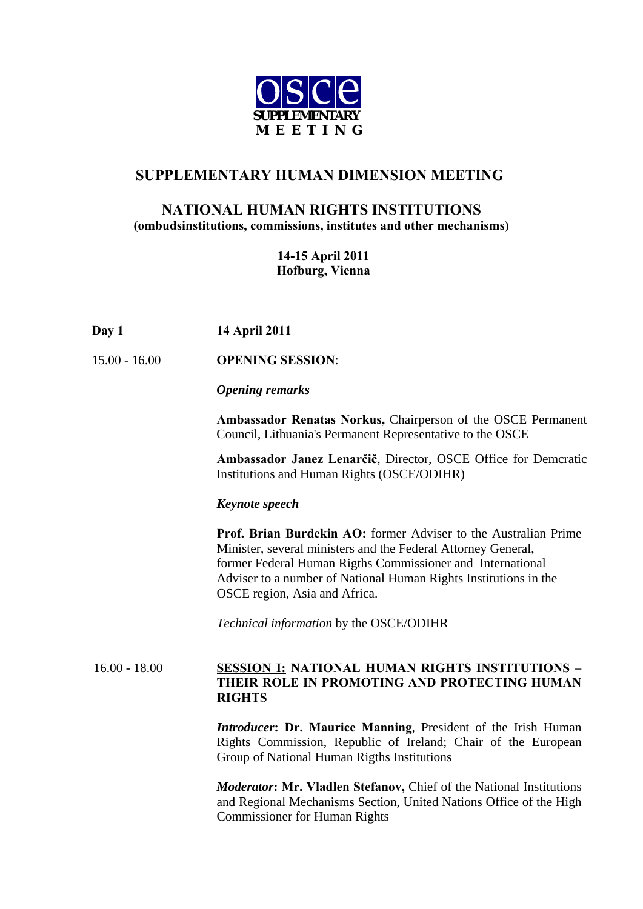

# **SUPPLEMENTARY HUMAN DIMENSION MEETING**

### **NATIONAL HUMAN RIGHTS INSTITUTIONS (ombudsinstitutions, commissions, institutes and other mechanisms)**

### **14-15 April 2011 Hofburg, Vienna**

| Day 1 | 14 April 2011 |
|-------|---------------|
|       |               |

15.00 - 16.00 **OPENING SESSION**:

#### *Opening remarks*

**Ambassador Renatas Norkus,** Chairperson of the OSCE Permanent Council, Lithuania's Permanent Representative to the OSCE

**Ambassador Janez Lenarčič**, Director, OSCE Office for Demcratic Institutions and Human Rights (OSCE/ODIHR)

#### *Keynote speech*

 **Prof. Brian Burdekin AO:** former Adviser to the Australian Prime Minister, several ministers and the Federal Attorney General, former Federal Human Rigths Commissioner and International Adviser to a number of National Human Rights Institutions in the OSCE region, Asia and Africa.

*Technical information* by the OSCE/ODIHR

### 16.00 - 18.00 **SESSION I: NATIONAL HUMAN RIGHTS INSTITUTIONS – THEIR ROLE IN PROMOTING AND PROTECTING HUMAN RIGHTS**

*Introducer***: Dr. Maurice Manning***,* President of the Irish Human Rights Commission, Republic of Ireland; Chair of the European Group of National Human Rigths Institutions

*Moderator***: Mr. Vladlen Stefanov,** Chief of the National Institutions and Regional Mechanisms Section, United Nations Office of the High Commissioner for Human Rights